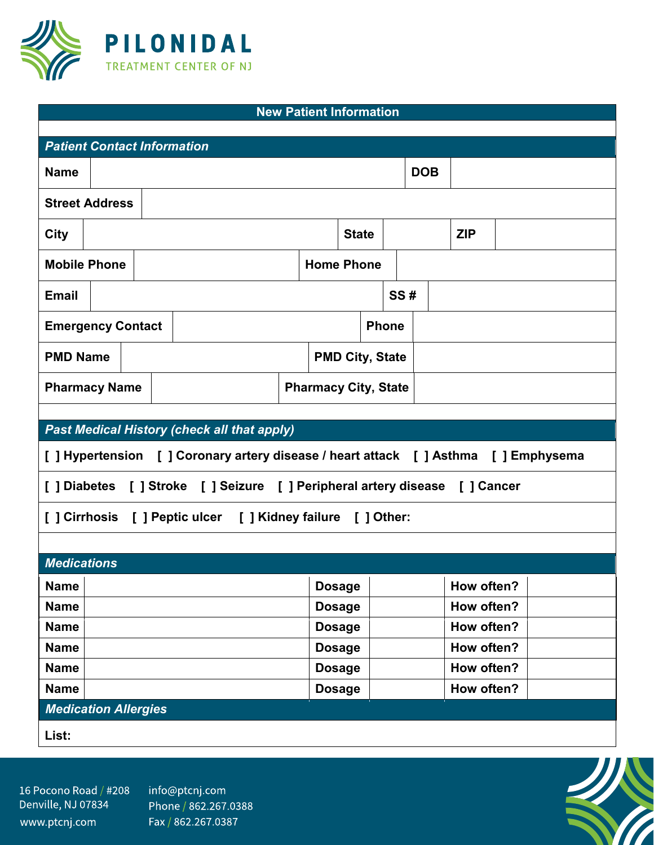

| <b>New Patient Information</b>                                                       |                      |  |  |  |  |                        |                             |  |     |            |  |            |  |  |  |
|--------------------------------------------------------------------------------------|----------------------|--|--|--|--|------------------------|-----------------------------|--|-----|------------|--|------------|--|--|--|
| <b>Patient Contact Information</b>                                                   |                      |  |  |  |  |                        |                             |  |     |            |  |            |  |  |  |
|                                                                                      |                      |  |  |  |  |                        |                             |  |     |            |  |            |  |  |  |
| <b>Name</b>                                                                          |                      |  |  |  |  |                        |                             |  |     | <b>DOB</b> |  |            |  |  |  |
| <b>Street Address</b>                                                                |                      |  |  |  |  |                        |                             |  |     |            |  |            |  |  |  |
| <b>City</b>                                                                          |                      |  |  |  |  |                        | <b>State</b>                |  |     |            |  | <b>ZIP</b> |  |  |  |
| <b>Mobile Phone</b>                                                                  |                      |  |  |  |  | <b>Home Phone</b>      |                             |  |     |            |  |            |  |  |  |
| <b>Email</b>                                                                         |                      |  |  |  |  |                        |                             |  | SS# |            |  |            |  |  |  |
| <b>Emergency Contact</b>                                                             |                      |  |  |  |  | <b>Phone</b>           |                             |  |     |            |  |            |  |  |  |
| <b>PMD Name</b>                                                                      |                      |  |  |  |  | <b>PMD City, State</b> |                             |  |     |            |  |            |  |  |  |
|                                                                                      | <b>Pharmacy Name</b> |  |  |  |  |                        | <b>Pharmacy City, State</b> |  |     |            |  |            |  |  |  |
|                                                                                      |                      |  |  |  |  |                        |                             |  |     |            |  |            |  |  |  |
| <b>Past Medical History (check all that apply)</b>                                   |                      |  |  |  |  |                        |                             |  |     |            |  |            |  |  |  |
|                                                                                      |                      |  |  |  |  |                        |                             |  |     |            |  |            |  |  |  |
| [ ] Hypertension [ ] Coronary artery disease / heart attack [ ] Asthma [ ] Emphysema |                      |  |  |  |  |                        |                             |  |     |            |  |            |  |  |  |
| [] Diabetes [] Stroke [] Seizure [] Peripheral artery disease [] Cancer              |                      |  |  |  |  |                        |                             |  |     |            |  |            |  |  |  |
| [] Cirrhosis [] Peptic ulcer [] Kidney failure [] Other:                             |                      |  |  |  |  |                        |                             |  |     |            |  |            |  |  |  |
|                                                                                      |                      |  |  |  |  |                        |                             |  |     |            |  |            |  |  |  |
| <b>Medications</b>                                                                   |                      |  |  |  |  |                        |                             |  |     |            |  |            |  |  |  |
| <b>Name</b>                                                                          |                      |  |  |  |  |                        | <b>Dosage</b>               |  |     |            |  | How often? |  |  |  |
| <b>Name</b>                                                                          |                      |  |  |  |  |                        | <b>Dosage</b>               |  |     |            |  | How often? |  |  |  |
| <b>Name</b>                                                                          |                      |  |  |  |  |                        | <b>Dosage</b>               |  |     |            |  | How often? |  |  |  |
| <b>Name</b>                                                                          |                      |  |  |  |  |                        | <b>Dosage</b>               |  |     |            |  | How often? |  |  |  |
| <b>Name</b>                                                                          |                      |  |  |  |  |                        | <b>Dosage</b>               |  |     |            |  | How often? |  |  |  |
| <b>Name</b>                                                                          |                      |  |  |  |  |                        | <b>Dosage</b>               |  |     |            |  | How often? |  |  |  |
| <b>Medication Allergies</b>                                                          |                      |  |  |  |  |                        |                             |  |     |            |  |            |  |  |  |

16 Pocono Road / #208 Denville, NJ 07834 www.ptcnj.com

info@ptcnj.com Phone / 862.267.0388 Fax / 862.267.0387